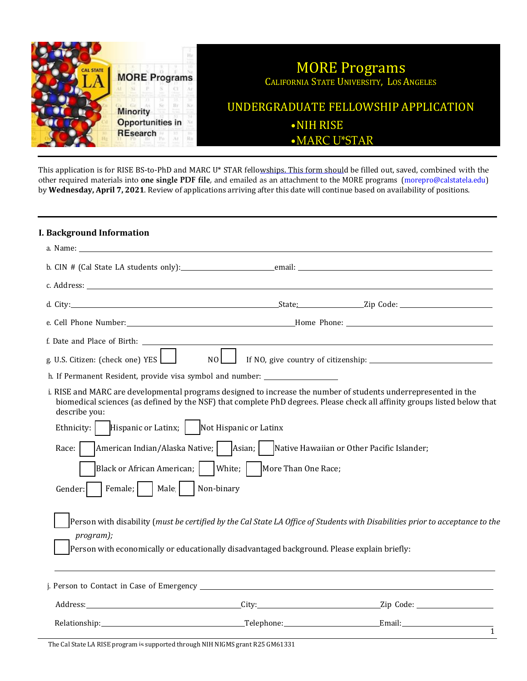

This application is for RISE BS-to-PhD and MARC U\* STAR fellowships. This form should be filled out, saved, combined with the other required materials into **one single PDF file**, and emailed as an attachment to the MORE programs (morepro@calstatela.edu) by **Wednesday, April 7, 2021**. Review of applications arriving after this date will continue based on availability of positions.

#### **I. Background Information**

| a. Name: will be a series of the contract of the contract of the contract of the contract of the contract of the contract of the contract of the contract of the contract of the contract of the contract of the contract of t                                |                                                                                                                               |
|---------------------------------------------------------------------------------------------------------------------------------------------------------------------------------------------------------------------------------------------------------------|-------------------------------------------------------------------------------------------------------------------------------|
|                                                                                                                                                                                                                                                               |                                                                                                                               |
|                                                                                                                                                                                                                                                               |                                                                                                                               |
|                                                                                                                                                                                                                                                               |                                                                                                                               |
|                                                                                                                                                                                                                                                               |                                                                                                                               |
|                                                                                                                                                                                                                                                               |                                                                                                                               |
| g. U.S. Citizen: (check one) YES $\Box$<br>$NOL$ $\vert$                                                                                                                                                                                                      |                                                                                                                               |
| h. If Permanent Resident, provide visa symbol and number: ______________________                                                                                                                                                                              |                                                                                                                               |
| i. RISE and MARC are developmental programs designed to increase the number of students underrepresented in the<br>biomedical sciences (as defined by the NSF) that complete PhD degrees. Please check all affinity groups listed below that<br>describe you: |                                                                                                                               |
| Ethnicity:   Hispanic or Latinx;   Not Hispanic or Latinx                                                                                                                                                                                                     |                                                                                                                               |
| Race:                                                                                                                                                                                                                                                         |                                                                                                                               |
| Black or African American;     White;     More Than One Race;                                                                                                                                                                                                 |                                                                                                                               |
| Female;     Male     Non-binary<br>Gender:                                                                                                                                                                                                                    |                                                                                                                               |
| program);<br>Person with economically or educationally disadvantaged background. Please explain briefly:                                                                                                                                                      | Person with disability (must be certified by the Cal State LA Office of Students with Disabilities prior to acceptance to the |
|                                                                                                                                                                                                                                                               |                                                                                                                               |
|                                                                                                                                                                                                                                                               |                                                                                                                               |
|                                                                                                                                                                                                                                                               |                                                                                                                               |
|                                                                                                                                                                                                                                                               | $\overline{1}$                                                                                                                |

The Cal State LA RISE program is supported through NIH NIGMS grant R25 GM61331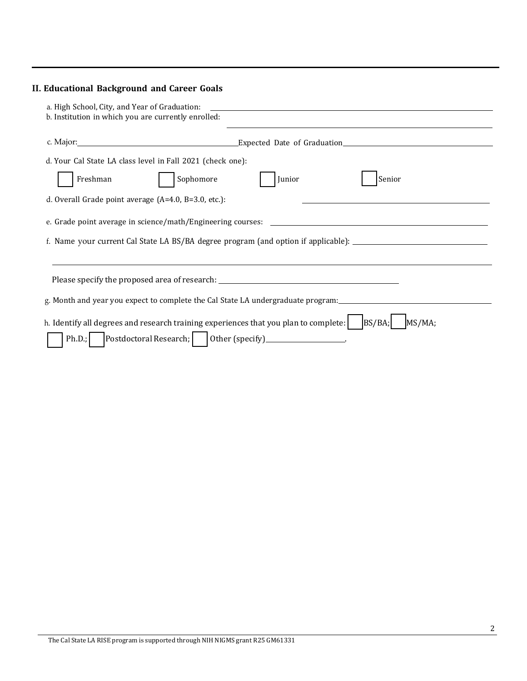# **II. Educational Background and Career Goals**

| a. High School, City, and Year of Graduation:<br>b. Institution in which you are currently enrolled:                                                             |                                                                                                      |
|------------------------------------------------------------------------------------------------------------------------------------------------------------------|------------------------------------------------------------------------------------------------------|
|                                                                                                                                                                  |                                                                                                      |
| d. Your Cal State LA class level in Fall 2021 (check one):                                                                                                       |                                                                                                      |
| Freshman<br>Sophomore                                                                                                                                            | Junior<br>Senior                                                                                     |
| d. Overall Grade point average $(A=4.0, B=3.0, etc.):$                                                                                                           |                                                                                                      |
|                                                                                                                                                                  | f. Name your current Cal State LA BS/BA degree program (and option if applicable): _________________ |
| Please specify the proposed area of research: ___________________________________                                                                                |                                                                                                      |
|                                                                                                                                                                  | g. Month and year you expect to complete the Cal State LA undergraduate program:                     |
| h. Identify all degrees and research training experiences that you plan to complete:<br>Postdoctoral Research;     0ther (specify) __________________.<br>Ph.D.; | BS/BA;<br>MS/MA;                                                                                     |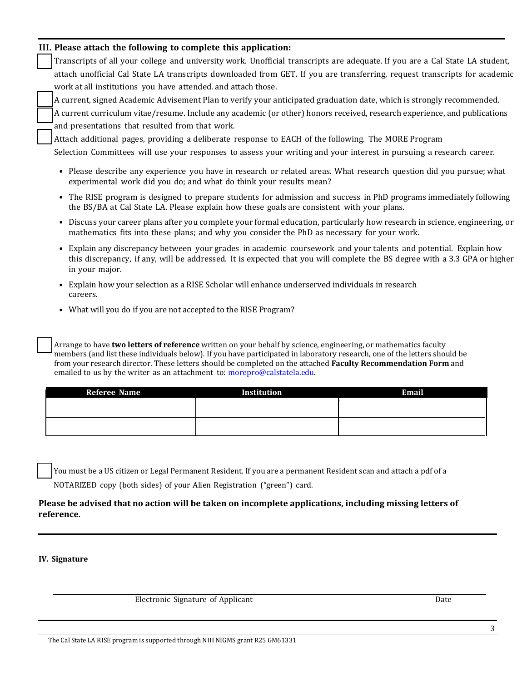|  |  |  |  |  |  |  |  | III. Please attach the following to complete this application: |  |
|--|--|--|--|--|--|--|--|----------------------------------------------------------------|--|
|--|--|--|--|--|--|--|--|----------------------------------------------------------------|--|

Transcripts of all your college and university work. Unofficial transcripts are adequate. If you are a Cal State LA student, attach unofficial Cal State LA transcripts downloaded from GET. If you are transferring, request transcripts for academic work at all institutions you have attended. and attach those.

A current, signed Academic Advisement Plan to verify your anticipated graduation date, which is strongly recommended.

A current curriculum vitae/resume. Include any academic (or other) honors received, research experience, and publications and presentations that resulted from that work.

Attach additional pages, providing a deliberate response to EACH of the following. The MORE Program

Selection Committees will use your responses to assess your writing and your interest in pursuing a research career.

- Please describe any experience you have in research or related areas. What research question did you pursue; what experimental work did you do; and what do think your results mean?
- The RISE program is designed to prepare students for admission and success in PhD programs immediately following the BS/BA at Cal State LA. Please explain how these goals are consistent with your plans.
- Discuss your career plans after you complete your formal education, particularly how research in science, engineering, or mathematics fits into these plans; and why you consider the PhD as necessary for your work.
- Explain any discrepancy between your grades in academic coursework and your talents and potential. Explain how this discrepancy, if any, will be addressed. It is expected that you will complete the BS degree with a 3.3 GPA or higher in your major.
- Explain how your selection as a RISE Scholar will enhance underserved individuals in research careers.
- What will you do if you are not accepted to the RISE Program?

Arrange to have **two letters of reference** written on your behalf by science, engineering, or mathematics faculty members (and list these individuals below). If you have participated in laboratory research, one of the letters should be from your research director. These letters should be completed on the attached **Faculty Recommendation Form** and emailed to us by the writer as an attachment to: [morepro@calstatela.edu.](mailto:morepro@calstatela.edu)

| <b>Referee Name</b> | Institution | <b>Email</b> |
|---------------------|-------------|--------------|
|                     |             |              |
|                     |             |              |
|                     |             |              |
|                     |             |              |

You must be a US citizen or Legal Permanent Resident. If you are a permanent Resident scan and attach a pdf of a NOTARIZED copy (both sides) of your Alien Registration ("green") card.

### **Please be advised that no action will be taken on incomplete applications, including missing letters of reference.**

#### **IV. Signature**

Electronic Signature of Applicant Date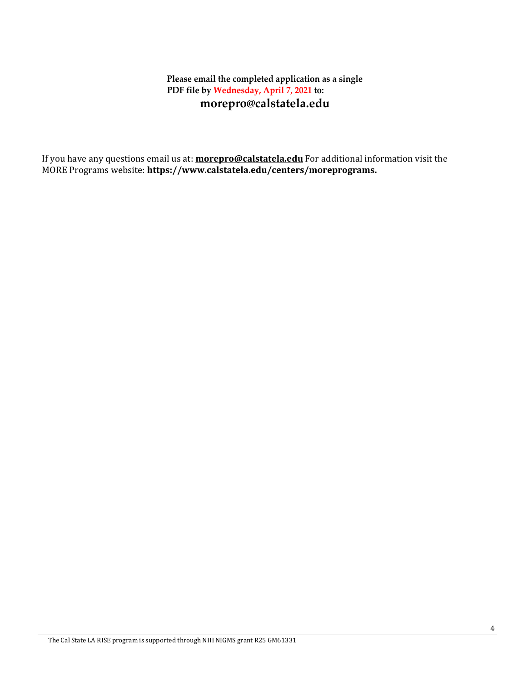## **Please email the completed application as a single PDF file by Wednesday, April 7, 2021 to: [morepro@calstatela.edu](mailto:morepro@calstatela.edu)**

If you have any questions email us at: **[morepro@calstatela.edu](mailto:morepro@calstatela.edu)** For additional information visit the MORE Programs website: **[https://www.calstatela.edu/centers/moreprograms.](http://www.calstatela.edu/centers/moreprograms)**